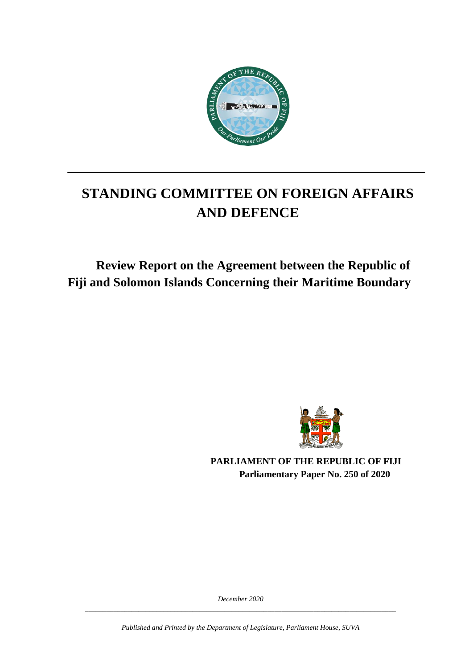

# **STANDING COMMITTEE ON FOREIGN AFFAIRS AND DEFENCE**

**\_\_\_\_\_\_\_\_\_\_\_\_\_\_\_\_\_\_\_\_\_\_\_\_\_\_\_\_\_\_\_\_\_\_\_\_\_\_\_\_\_\_\_\_\_**

## **Review Report on the Agreement between the Republic of Fiji and Solomon Islands Concerning their Maritime Boundary**



**PARLIAMENT OF THE REPUBLIC OF FIJI Parliamentary Paper No. 250 of 2020**

*December 2020 \_\_\_\_\_\_\_\_\_\_\_\_\_\_\_\_\_\_\_\_\_\_\_\_\_\_\_\_\_\_\_\_\_\_\_\_\_\_\_\_\_\_\_\_\_\_\_\_\_\_\_\_\_\_\_\_\_\_\_\_\_\_\_\_\_\_\_\_\_\_\_\_\_\_\_\_\_\_\_\_\_\_\_\_\_\_\_*

*Published and Printed by the Department of Legislature, Parliament House, SUVA*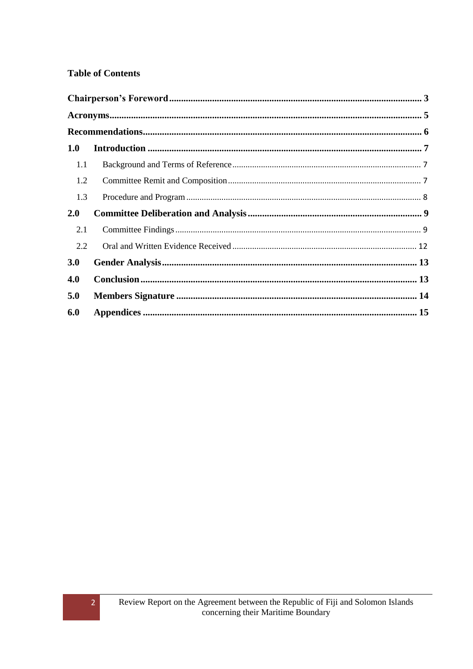#### **Table of Contents**

| 1.0 |  |
|-----|--|
| 1.1 |  |
| 1.2 |  |
| 1.3 |  |
| 2.0 |  |
| 2.1 |  |
| 2.2 |  |
| 3.0 |  |
| 4.0 |  |
| 5.0 |  |
| 6.0 |  |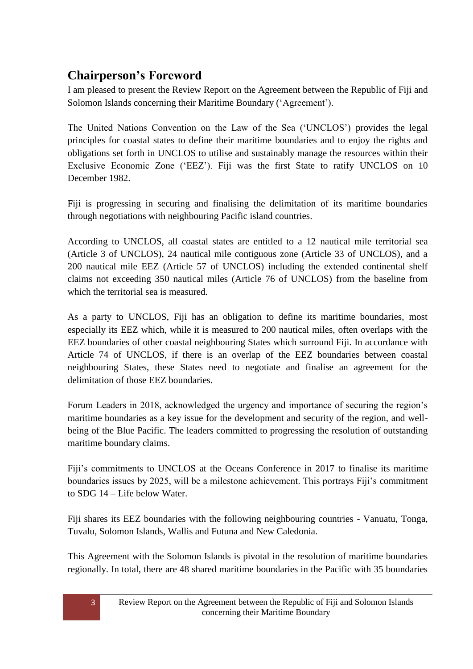## <span id="page-2-0"></span>**Chairperson's Foreword**

I am pleased to present the Review Report on the Agreement between the Republic of Fiji and Solomon Islands concerning their Maritime Boundary ("Agreement").

The United Nations Convention on the Law of the Sea ("UNCLOS") provides the legal principles for coastal states to define their maritime boundaries and to enjoy the rights and obligations set forth in UNCLOS to utilise and sustainably manage the resources within their Exclusive Economic Zone ("EEZ"). Fiji was the first State to ratify UNCLOS on 10 December 1982.

Fiji is progressing in securing and finalising the delimitation of its maritime boundaries through negotiations with neighbouring Pacific island countries.

According to UNCLOS, all coastal states are entitled to a 12 nautical mile territorial sea (Article 3 of UNCLOS), 24 nautical mile contiguous zone (Article 33 of UNCLOS), and a 200 nautical mile EEZ (Article 57 of UNCLOS) including the extended continental shelf claims not exceeding 350 nautical miles (Article 76 of UNCLOS) from the baseline from which the territorial sea is measured.

As a party to UNCLOS, Fiji has an obligation to define its maritime boundaries, most especially its EEZ which, while it is measured to 200 nautical miles, often overlaps with the EEZ boundaries of other coastal neighbouring States which surround Fiji. In accordance with Article 74 of UNCLOS, if there is an overlap of the EEZ boundaries between coastal neighbouring States, these States need to negotiate and finalise an agreement for the delimitation of those EEZ boundaries.

Forum Leaders in 2018, acknowledged the urgency and importance of securing the region's maritime boundaries as a key issue for the development and security of the region, and wellbeing of the Blue Pacific. The leaders committed to progressing the resolution of outstanding maritime boundary claims.

Fiji's commitments to UNCLOS at the Oceans Conference in 2017 to finalise its maritime boundaries issues by 2025, will be a milestone achievement. This portrays Fiji"s commitment to SDG 14 – Life below Water.

Fiji shares its EEZ boundaries with the following neighbouring countries - Vanuatu, Tonga, Tuvalu, Solomon Islands, Wallis and Futuna and New Caledonia.

This Agreement with the Solomon Islands is pivotal in the resolution of maritime boundaries regionally. In total, there are 48 shared maritime boundaries in the Pacific with 35 boundaries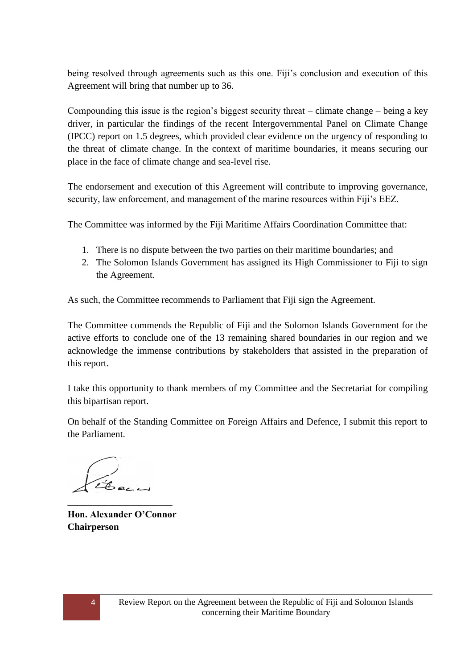being resolved through agreements such as this one. Fiji"s conclusion and execution of this Agreement will bring that number up to 36.

Compounding this issue is the region's biggest security threat – climate change – being a key driver, in particular the findings of the recent Intergovernmental Panel on Climate Change (IPCC) report on 1.5 degrees, which provided clear evidence on the urgency of responding to the threat of climate change. In the context of maritime boundaries, it means securing our place in the face of climate change and sea-level rise.

The endorsement and execution of this Agreement will contribute to improving governance, security, law enforcement, and management of the marine resources within Fiji's EEZ.

The Committee was informed by the Fiji Maritime Affairs Coordination Committee that:

- 1. There is no dispute between the two parties on their maritime boundaries; and
- 2. The Solomon Islands Government has assigned its High Commissioner to Fiji to sign the Agreement.

As such, the Committee recommends to Parliament that Fiji sign the Agreement.

The Committee commends the Republic of Fiji and the Solomon Islands Government for the active efforts to conclude one of the 13 remaining shared boundaries in our region and we acknowledge the immense contributions by stakeholders that assisted in the preparation of this report.

I take this opportunity to thank members of my Committee and the Secretariat for compiling this bipartisan report.

On behalf of the Standing Committee on Foreign Affairs and Defence, I submit this report to the Parliament.

Beca

<span id="page-3-0"></span>**Hon. Alexander O'Connor Chairperson**

\_\_\_\_\_\_\_\_\_\_\_\_\_\_\_\_\_\_\_\_\_\_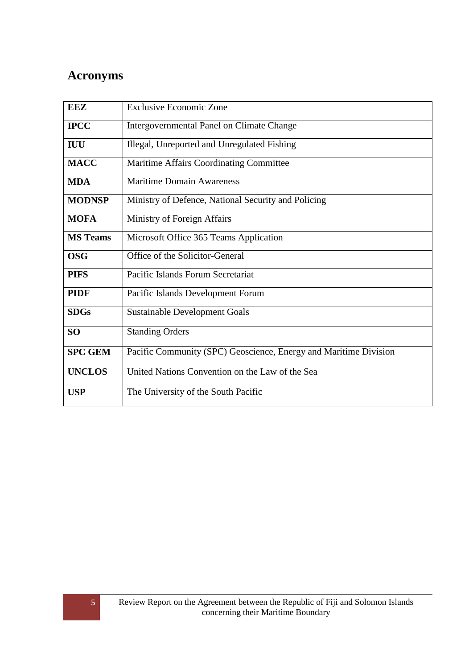## **Acronyms**

| <b>EEZ</b>      | <b>Exclusive Economic Zone</b>                                   |  |  |  |  |
|-----------------|------------------------------------------------------------------|--|--|--|--|
| <b>IPCC</b>     | Intergovernmental Panel on Climate Change                        |  |  |  |  |
| <b>IUU</b>      | Illegal, Unreported and Unregulated Fishing                      |  |  |  |  |
| <b>MACC</b>     | Maritime Affairs Coordinating Committee                          |  |  |  |  |
| <b>MDA</b>      | <b>Maritime Domain Awareness</b>                                 |  |  |  |  |
| <b>MODNSP</b>   | Ministry of Defence, National Security and Policing              |  |  |  |  |
| <b>MOFA</b>     | Ministry of Foreign Affairs                                      |  |  |  |  |
| <b>MS</b> Teams | Microsoft Office 365 Teams Application                           |  |  |  |  |
| <b>OSG</b>      | Office of the Solicitor-General                                  |  |  |  |  |
| <b>PIFS</b>     | Pacific Islands Forum Secretariat                                |  |  |  |  |
| <b>PIDF</b>     | Pacific Islands Development Forum                                |  |  |  |  |
| <b>SDGs</b>     | <b>Sustainable Development Goals</b>                             |  |  |  |  |
| <b>SO</b>       | <b>Standing Orders</b>                                           |  |  |  |  |
| <b>SPC GEM</b>  | Pacific Community (SPC) Geoscience, Energy and Maritime Division |  |  |  |  |
| <b>UNCLOS</b>   | United Nations Convention on the Law of the Sea                  |  |  |  |  |
| <b>USP</b>      | The University of the South Pacific                              |  |  |  |  |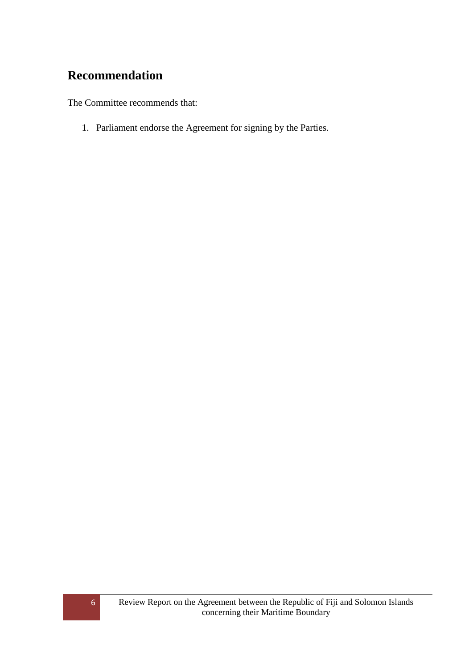## <span id="page-5-0"></span>**Recommendation**

The Committee recommends that:

1. Parliament endorse the Agreement for signing by the Parties.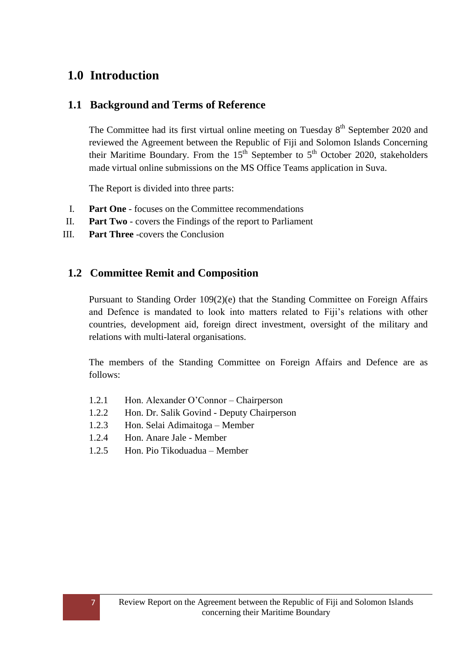## <span id="page-6-0"></span>**1.0 Introduction**

#### <span id="page-6-1"></span>**1.1 Background and Terms of Reference**

The Committee had its first virtual online meeting on Tuesday  $8<sup>th</sup>$  September 2020 and reviewed the Agreement between the Republic of Fiji and Solomon Islands Concerning their Maritime Boundary. From the  $15<sup>th</sup>$  September to  $5<sup>th</sup>$  October 2020, stakeholders made virtual online submissions on the MS Office Teams application in Suva.

The Report is divided into three parts:

- I. **Part One** focuses on the Committee recommendations
- II. **Part Two** covers the Findings of the report to Parliament
- III. **Part Three** -covers the Conclusion

#### <span id="page-6-2"></span>**1.2 Committee Remit and Composition**

Pursuant to Standing Order 109(2)(e) that the Standing Committee on Foreign Affairs and Defence is mandated to look into matters related to Fiji"s relations with other countries, development aid, foreign direct investment, oversight of the military and relations with multi-lateral organisations.

The members of the Standing Committee on Foreign Affairs and Defence are as follows:

- 1.2.1 Hon. Alexander O"Connor Chairperson
- 1.2.2 Hon. Dr. Salik Govind Deputy Chairperson
- 1.2.3 Hon. Selai Adimaitoga Member
- 1.2.4 Hon. Anare Jale Member
- 1.2.5 Hon. Pio Tikoduadua Member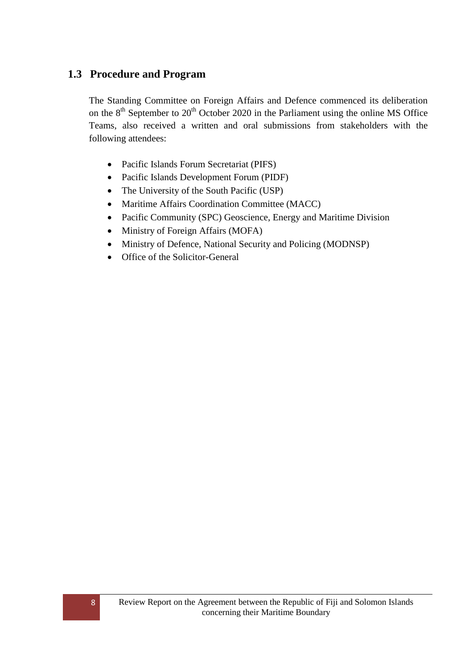#### <span id="page-7-0"></span>**1.3 Procedure and Program**

The Standing Committee on Foreign Affairs and Defence commenced its deliberation on the  $8<sup>th</sup>$  September to  $20<sup>th</sup>$  October 2020 in the Parliament using the online MS Office Teams, also received a written and oral submissions from stakeholders with the following attendees:

- Pacific Islands Forum Secretariat (PIFS)
- Pacific Islands Development Forum (PIDF)
- The University of the South Pacific (USP)
- Maritime Affairs Coordination Committee (MACC)
- Pacific Community (SPC) Geoscience, Energy and Maritime Division
- Ministry of Foreign Affairs (MOFA)
- Ministry of Defence, National Security and Policing (MODNSP)
- Office of the Solicitor-General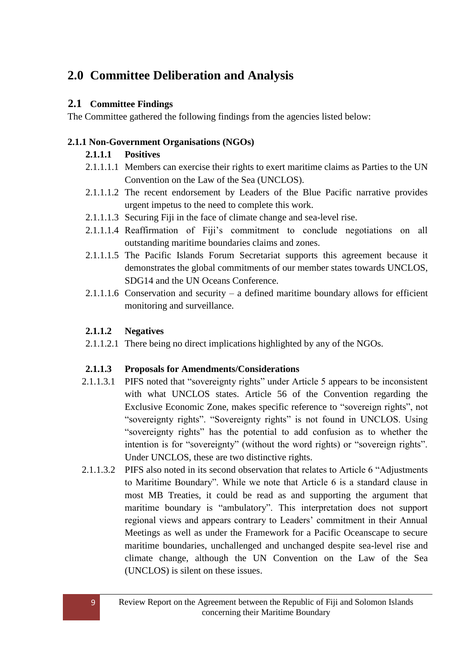## <span id="page-8-0"></span>**2.0 Committee Deliberation and Analysis**

#### <span id="page-8-1"></span>**2.1 Committee Findings**

The Committee gathered the following findings from the agencies listed below:

#### **2.1.1 Non-Government Organisations (NGOs)**

#### **2.1.1.1 Positives**

- 2.1.1.1.1 Members can exercise their rights to exert maritime claims as Parties to the UN Convention on the Law of the Sea (UNCLOS).
- 2.1.1.1.2 The recent endorsement by Leaders of the Blue Pacific narrative provides urgent impetus to the need to complete this work.
- 2.1.1.1.3 Securing Fiji in the face of climate change and sea-level rise.
- 2.1.1.1.4 Reaffirmation of Fiji"s commitment to conclude negotiations on all outstanding maritime boundaries claims and zones.
- 2.1.1.1.5 The Pacific Islands Forum Secretariat supports this agreement because it demonstrates the global commitments of our member states towards UNCLOS, SDG14 and the UN Oceans Conference.
- 2.1.1.1.6 Conservation and security a defined maritime boundary allows for efficient monitoring and surveillance.

#### **2.1.1.2 Negatives**

2.1.1.2.1 There being no direct implications highlighted by any of the NGOs.

#### **2.1.1.3 Proposals for Amendments/Considerations**

- 2.1.1.3.1 PIFS noted that "sovereignty rights" under Article 5 appears to be inconsistent with what UNCLOS states. Article 56 of the Convention regarding the Exclusive Economic Zone, makes specific reference to "sovereign rights", not "sovereignty rights". "Sovereignty rights" is not found in UNCLOS. Using "sovereignty rights" has the potential to add confusion as to whether the intention is for "sovereignty" (without the word rights) or "sovereign rights". Under UNCLOS, these are two distinctive rights.
- 2.1.1.3.2 PIFS also noted in its second observation that relates to Article 6 "Adjustments to Maritime Boundary". While we note that Article 6 is a standard clause in most MB Treaties, it could be read as and supporting the argument that maritime boundary is "ambulatory". This interpretation does not support regional views and appears contrary to Leaders' commitment in their Annual Meetings as well as under the Framework for a Pacific Oceanscape to secure maritime boundaries, unchallenged and unchanged despite sea-level rise and climate change, although the UN Convention on the Law of the Sea (UNCLOS) is silent on these issues.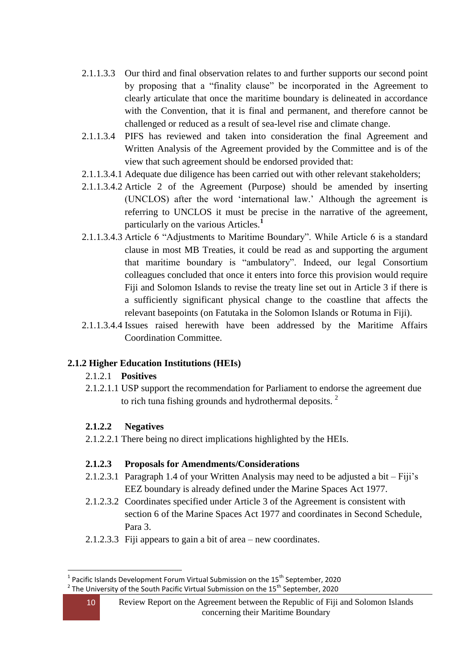- 2.1.1.3.3 Our third and final observation relates to and further supports our second point by proposing that a "finality clause" be incorporated in the Agreement to clearly articulate that once the maritime boundary is delineated in accordance with the Convention, that it is final and permanent, and therefore cannot be challenged or reduced as a result of sea-level rise and climate change.
- 2.1.1.3.4 PIFS has reviewed and taken into consideration the final Agreement and Written Analysis of the Agreement provided by the Committee and is of the view that such agreement should be endorsed provided that:
- 2.1.1.3.4.1 Adequate due diligence has been carried out with other relevant stakeholders;
- 2.1.1.3.4.2 Article 2 of the Agreement (Purpose) should be amended by inserting (UNCLOS) after the word "international law." Although the agreement is referring to UNCLOS it must be precise in the narrative of the agreement, particularly on the various Articles.**<sup>1</sup>**
- 2.1.1.3.4.3 Article 6 "Adjustments to Maritime Boundary". While Article 6 is a standard clause in most MB Treaties, it could be read as and supporting the argument that maritime boundary is "ambulatory". Indeed, our legal Consortium colleagues concluded that once it enters into force this provision would require Fiji and Solomon Islands to revise the treaty line set out in Article 3 if there is a sufficiently significant physical change to the coastline that affects the relevant basepoints (on Fatutaka in the Solomon Islands or Rotuma in Fiji).
- 2.1.1.3.4.4 Issues raised herewith have been addressed by the Maritime Affairs Coordination Committee.

#### **2.1.2 Higher Education Institutions (HEIs)**

#### 2.1.2.1 **Positives**

2.1.2.1.1 USP support the recommendation for Parliament to endorse the agreement due to rich tuna fishing grounds and hydrothermal deposits.  $2^{\circ}$ 

#### **2.1.2.2 Negatives**

2.1.2.2.1 There being no direct implications highlighted by the HEIs.

#### **2.1.2.3 Proposals for Amendments/Considerations**

- 2.1.2.3.1 Paragraph 1.4 of your Written Analysis may need to be adjusted a bit Fiji"s EEZ boundary is already defined under the Marine Spaces Act 1977.
- 2.1.2.3.2 Coordinates specified under Article 3 of the Agreement is consistent with section 6 of the Marine Spaces Act 1977 and coordinates in Second Schedule, Para 3.
- 2.1.2.3.3 Fiji appears to gain a bit of area new coordinates.

<sup>1</sup> <sup>1</sup> Pacific Islands Development Forum Virtual Submission on the 15<sup>th</sup> September, 2020  $^2$  The University of the South Pacific Virtual Submission on the 15<sup>th</sup> September, 2020

<sup>10</sup> Review Report on the Agreement between the Republic of Fiji and Solomon Islands concerning their Maritime Boundary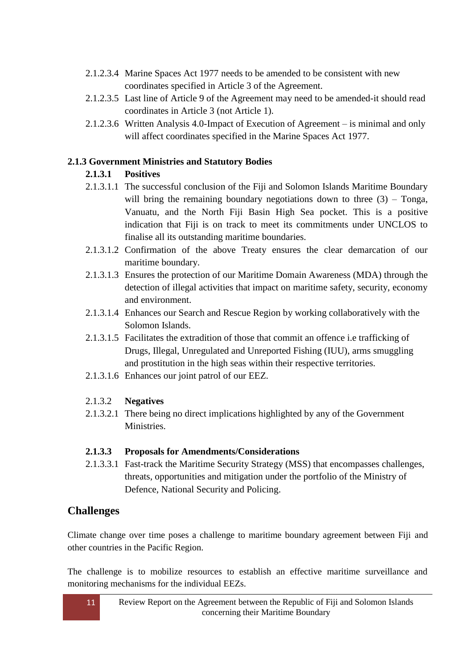- 2.1.2.3.4 Marine Spaces Act 1977 needs to be amended to be consistent with new coordinates specified in Article 3 of the Agreement.
- 2.1.2.3.5 Last line of Article 9 of the Agreement may need to be amended-it should read coordinates in Article 3 (not Article 1).
- 2.1.2.3.6 Written Analysis 4.0-Impact of Execution of Agreement is minimal and only will affect coordinates specified in the Marine Spaces Act 1977.

#### **2.1.3 Government Ministries and Statutory Bodies**

#### **2.1.3.1 Positives**

- 2.1.3.1.1 The successful conclusion of the Fiji and Solomon Islands Maritime Boundary will bring the remaining boundary negotiations down to three  $(3)$  – Tonga, Vanuatu, and the North Fiji Basin High Sea pocket. This is a positive indication that Fiji is on track to meet its commitments under UNCLOS to finalise all its outstanding maritime boundaries.
- 2.1.3.1.2 Confirmation of the above Treaty ensures the clear demarcation of our maritime boundary.
- 2.1.3.1.3 Ensures the protection of our Maritime Domain Awareness (MDA) through the detection of illegal activities that impact on maritime safety, security, economy and environment.
- 2.1.3.1.4 Enhances our Search and Rescue Region by working collaboratively with the Solomon Islands.
- 2.1.3.1.5 Facilitates the extradition of those that commit an offence i.e trafficking of Drugs, Illegal, Unregulated and Unreported Fishing (IUU), arms smuggling and prostitution in the high seas within their respective territories.
- 2.1.3.1.6 Enhances our joint patrol of our EEZ.

#### 2.1.3.2 **Negatives**

2.1.3.2.1 There being no direct implications highlighted by any of the Government Ministries.

#### **2.1.3.3 Proposals for Amendments/Considerations**

2.1.3.3.1 Fast-track the Maritime Security Strategy (MSS) that encompasses challenges, threats, opportunities and mitigation under the portfolio of the Ministry of Defence, National Security and Policing.

#### **Challenges**

Climate change over time poses a challenge to maritime boundary agreement between Fiji and other countries in the Pacific Region.

The challenge is to mobilize resources to establish an effective maritime surveillance and monitoring mechanisms for the individual EEZs.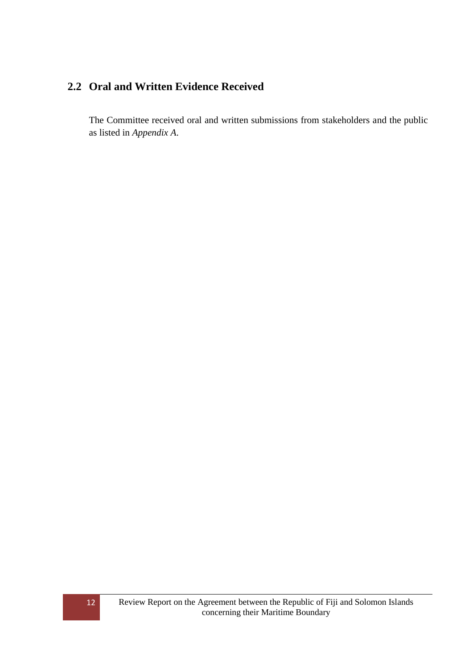### <span id="page-11-0"></span>**2.2 Oral and Written Evidence Received**

The Committee received oral and written submissions from stakeholders and the public as listed in *Appendix A*.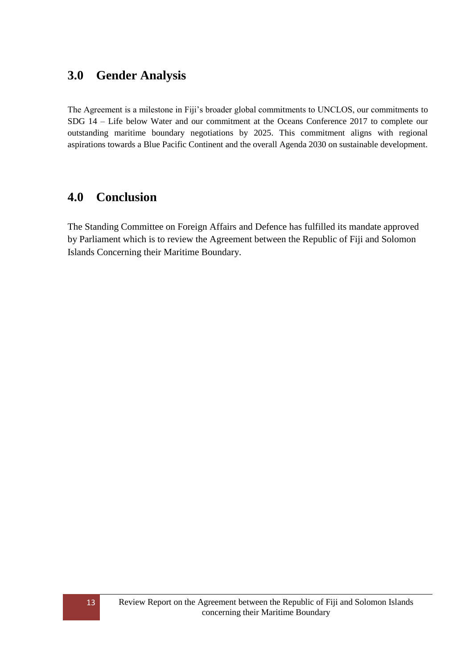## <span id="page-12-0"></span>**3.0 Gender Analysis**

The Agreement is a milestone in Fiji"s broader global commitments to UNCLOS, our commitments to SDG 14 – Life below Water and our commitment at the Oceans Conference 2017 to complete our outstanding maritime boundary negotiations by 2025. This commitment aligns with regional aspirations towards a Blue Pacific Continent and the overall Agenda 2030 on sustainable development.

### <span id="page-12-1"></span>**4.0 Conclusion**

The Standing Committee on Foreign Affairs and Defence has fulfilled its mandate approved by Parliament which is to review the Agreement between the Republic of Fiji and Solomon Islands Concerning their Maritime Boundary.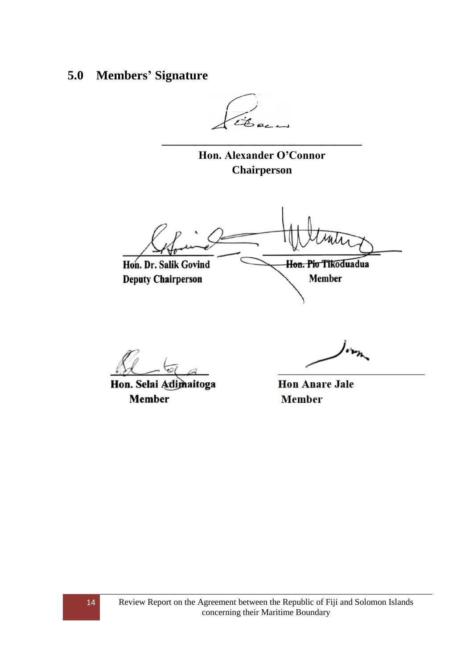## <span id="page-13-0"></span>**5.0 Members' Signature**

**Hon. Alexander O'Connor Chairperson**

**\_\_\_\_\_\_\_\_\_\_\_\_\_\_\_\_\_\_\_\_\_\_\_\_\_\_\_\_\_\_\_\_\_\_\_\_**

Hon. Dr. Salik Govind Hon. Pio Tikoduadua

**Deputy Chairperson** 

Hon. Selai Adimaitoga **Member** 

**Member** 

**Hon Anare Jale Member**